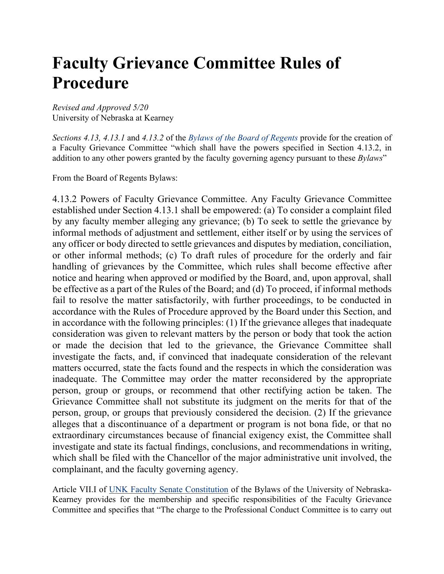# **Faculty Grievance Committee Rules of Procedure**

*Revised and Approved 5/20* University of Nebraska at Kearney

*Sections 4.13, 4.13.1* and *4.13.2* of the *Bylaws of the Board of Regents* provide for the creation of a Faculty Grievance Committee "which shall have the powers specified in Section 4.13.2, in addition to any other powers granted by the faculty governing agency pursuant to these *Bylaws*"

From the Board of Regents Bylaws:

4.13.2 Powers of Faculty Grievance Committee. Any Faculty Grievance Committee established under Section 4.13.1 shall be empowered: (a) To consider a complaint filed by any faculty member alleging any grievance; (b) To seek to settle the grievance by informal methods of adjustment and settlement, either itself or by using the services of any officer or body directed to settle grievances and disputes by mediation, conciliation, or other informal methods; (c) To draft rules of procedure for the orderly and fair handling of grievances by the Committee, which rules shall become effective after notice and hearing when approved or modified by the Board, and, upon approval, shall be effective as a part of the Rules of the Board; and (d) To proceed, if informal methods fail to resolve the matter satisfactorily, with further proceedings, to be conducted in accordance with the Rules of Procedure approved by the Board under this Section, and in accordance with the following principles: (1) If the grievance alleges that inadequate consideration was given to relevant matters by the person or body that took the action or made the decision that led to the grievance, the Grievance Committee shall investigate the facts, and, if convinced that inadequate consideration of the relevant matters occurred, state the facts found and the respects in which the consideration was inadequate. The Committee may order the matter reconsidered by the appropriate person, group or groups, or recommend that other rectifying action be taken. The Grievance Committee shall not substitute its judgment on the merits for that of the person, group, or groups that previously considered the decision. (2) If the grievance alleges that a discontinuance of a department or program is not bona fide, or that no extraordinary circumstances because of financial exigency exist, the Committee shall investigate and state its factual findings, conclusions, and recommendations in writing, which shall be filed with the Chancellor of the major administrative unit involved, the complainant, and the faculty governing agency.

Article VII.I of UNK Faculty Senate Constitution of the Bylaws of the University of Nebraska-Kearney provides for the membership and specific responsibilities of the Faculty Grievance Committee and specifies that "The charge to the Professional Conduct Committee is to carry out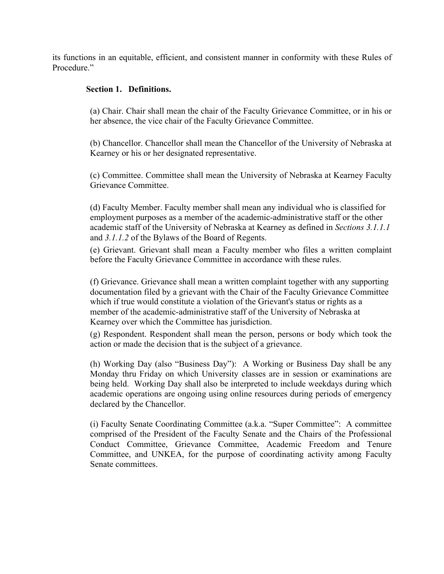its functions in an equitable, efficient, and consistent manner in conformity with these Rules of Procedure."

# **Section 1. Definitions.**

(a) Chair. Chair shall mean the chair of the Faculty Grievance Committee, or in his or her absence, the vice chair of the Faculty Grievance Committee.

(b) Chancellor. Chancellor shall mean the Chancellor of the University of Nebraska at Kearney or his or her designated representative.

(c) Committee. Committee shall mean the University of Nebraska at Kearney Faculty Grievance Committee.

(d) Faculty Member. Faculty member shall mean any individual who is classified for employment purposes as a member of the academic-administrative staff or the other academic staff of the University of Nebraska at Kearney as defined in *Sections 3.1.1.1* and *3.1.1.2* of the Bylaws of the Board of Regents.

(e) Grievant. Grievant shall mean a Faculty member who files a written complaint before the Faculty Grievance Committee in accordance with these rules.

(f) Grievance. Grievance shall mean a written complaint together with any supporting documentation filed by a grievant with the Chair of the Faculty Grievance Committee which if true would constitute a violation of the Grievant's status or rights as a member of the academic-administrative staff of the University of Nebraska at Kearney over which the Committee has jurisdiction.

(g) Respondent. Respondent shall mean the person, persons or body which took the action or made the decision that is the subject of a grievance.

(h) Working Day (also "Business Day"): A Working or Business Day shall be any Monday thru Friday on which University classes are in session or examinations are being held. Working Day shall also be interpreted to include weekdays during which academic operations are ongoing using online resources during periods of emergency declared by the Chancellor.

(i) Faculty Senate Coordinating Committee (a.k.a. "Super Committee": A committee comprised of the President of the Faculty Senate and the Chairs of the Professional Conduct Committee, Grievance Committee, Academic Freedom and Tenure Committee, and UNKEA, for the purpose of coordinating activity among Faculty Senate committees.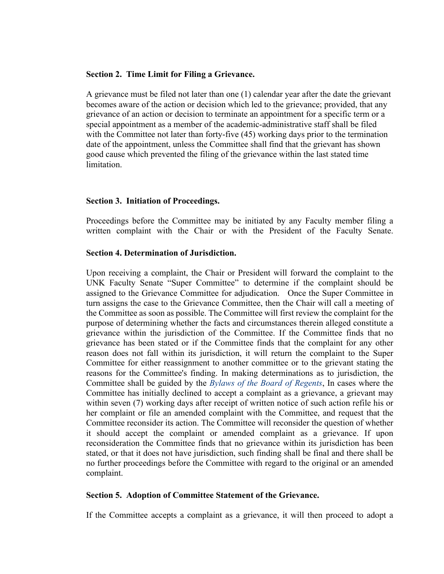## **Section 2. Time Limit for Filing a Grievance.**

A grievance must be filed not later than one (1) calendar year after the date the grievant becomes aware of the action or decision which led to the grievance; provided, that any grievance of an action or decision to terminate an appointment for a specific term or a special appointment as a member of the academic-administrative staff shall be filed with the Committee not later than forty-five (45) working days prior to the termination date of the appointment, unless the Committee shall find that the grievant has shown good cause which prevented the filing of the grievance within the last stated time limitation.

## **Section 3. Initiation of Proceedings.**

Proceedings before the Committee may be initiated by any Faculty member filing a written complaint with the Chair or with the President of the Faculty Senate.

## **Section 4. Determination of Jurisdiction.**

Upon receiving a complaint, the Chair or President will forward the complaint to the UNK Faculty Senate "Super Committee" to determine if the complaint should be assigned to the Grievance Committee for adjudication. Once the Super Committee in turn assigns the case to the Grievance Committee, then the Chair will call a meeting of the Committee as soon as possible. The Committee will first review the complaint for the purpose of determining whether the facts and circumstances therein alleged constitute a grievance within the jurisdiction of the Committee. If the Committee finds that no grievance has been stated or if the Committee finds that the complaint for any other reason does not fall within its jurisdiction, it will return the complaint to the Super Committee for either reassignment to another committee or to the grievant stating the reasons for the Committee's finding. In making determinations as to jurisdiction, the Committee shall be guided by the *Bylaws of the Board of Regents*, In cases where the Committee has initially declined to accept a complaint as a grievance, a grievant may within seven (7) working days after receipt of written notice of such action refile his or her complaint or file an amended complaint with the Committee, and request that the Committee reconsider its action. The Committee will reconsider the question of whether it should accept the complaint or amended complaint as a grievance. If upon reconsideration the Committee finds that no grievance within its jurisdiction has been stated, or that it does not have jurisdiction, such finding shall be final and there shall be no further proceedings before the Committee with regard to the original or an amended complaint.

## **Section 5. Adoption of Committee Statement of the Grievance.**

If the Committee accepts a complaint as a grievance, it will then proceed to adopt a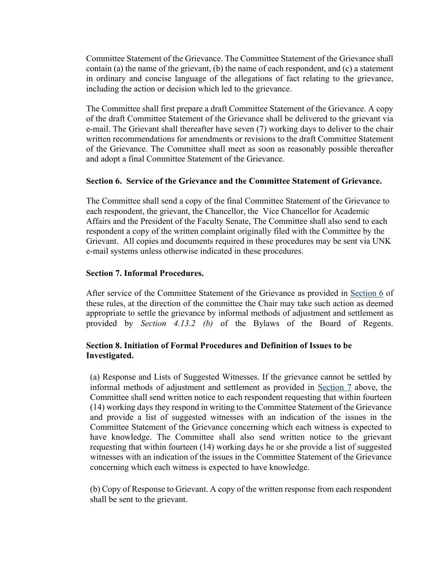Committee Statement of the Grievance. The Committee Statement of the Grievance shall contain (a) the name of the grievant, (b) the name of each respondent, and (c) a statement in ordinary and concise language of the allegations of fact relating to the grievance, including the action or decision which led to the grievance.

The Committee shall first prepare a draft Committee Statement of the Grievance. A copy of the draft Committee Statement of the Grievance shall be delivered to the grievant via e-mail. The Grievant shall thereafter have seven (7) working days to deliver to the chair written recommendations for amendments or revisions to the draft Committee Statement of the Grievance. The Committee shall meet as soon as reasonably possible thereafter and adopt a final Committee Statement of the Grievance.

## **Section 6. Service of the Grievance and the Committee Statement of Grievance.**

The Committee shall send a copy of the final Committee Statement of the Grievance to each respondent, the grievant, the Chancellor, the Vice Chancellor for Academic Affairs and the President of the Faculty Senate, The Committee shall also send to each respondent a copy of the written complaint originally filed with the Committee by the Grievant. All copies and documents required in these procedures may be sent via UNK e-mail systems unless otherwise indicated in these procedures.

# **Section 7. Informal Procedures.**

After service of the Committee Statement of the Grievance as provided in Section 6 of these rules, at the direction of the committee the Chair may take such action as deemed appropriate to settle the grievance by informal methods of adjustment and settlement as provided by *Section 4.13.2 (b)* of the Bylaws of the Board of Regents.

# **Section 8. Initiation of Formal Procedures and Definition of Issues to be Investigated.**

(a) Response and Lists of Suggested Witnesses. If the grievance cannot be settled by informal methods of adjustment and settlement as provided in Section 7 above, the Committee shall send written notice to each respondent requesting that within fourteen (14) working days they respond in writing to the Committee Statement of the Grievance and provide a list of suggested witnesses with an indication of the issues in the Committee Statement of the Grievance concerning which each witness is expected to have knowledge. The Committee shall also send written notice to the grievant requesting that within fourteen (14) working days he or she provide a list of suggested witnesses with an indication of the issues in the Committee Statement of the Grievance concerning which each witness is expected to have knowledge.

(b) Copy of Response to Grievant. A copy of the written response from each respondent shall be sent to the grievant.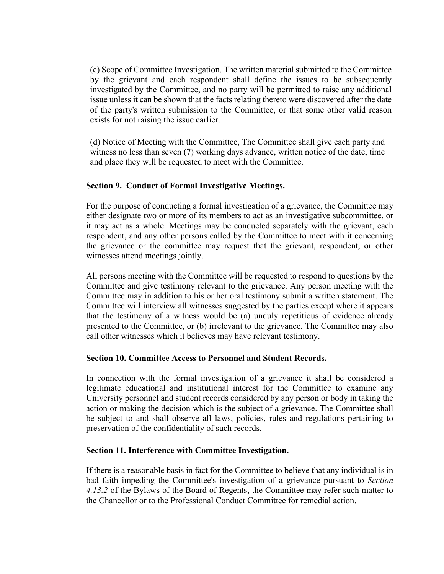(c) Scope of Committee Investigation. The written material submitted to the Committee by the grievant and each respondent shall define the issues to be subsequently investigated by the Committee, and no party will be permitted to raise any additional issue unless it can be shown that the facts relating thereto were discovered after the date of the party's written submission to the Committee, or that some other valid reason exists for not raising the issue earlier.

(d) Notice of Meeting with the Committee, The Committee shall give each party and witness no less than seven (7) working days advance, written notice of the date, time and place they will be requested to meet with the Committee.

# **Section 9. Conduct of Formal Investigative Meetings.**

For the purpose of conducting a formal investigation of a grievance, the Committee may either designate two or more of its members to act as an investigative subcommittee, or it may act as a whole. Meetings may be conducted separately with the grievant, each respondent, and any other persons called by the Committee to meet with it concerning the grievance or the committee may request that the grievant, respondent, or other witnesses attend meetings jointly.

All persons meeting with the Committee will be requested to respond to questions by the Committee and give testimony relevant to the grievance. Any person meeting with the Committee may in addition to his or her oral testimony submit a written statement. The Committee will interview all witnesses suggested by the parties except where it appears that the testimony of a witness would be (a) unduly repetitious of evidence already presented to the Committee, or (b) irrelevant to the grievance. The Committee may also call other witnesses which it believes may have relevant testimony.

# **Section 10. Committee Access to Personnel and Student Records.**

In connection with the formal investigation of a grievance it shall be considered a legitimate educational and institutional interest for the Committee to examine any University personnel and student records considered by any person or body in taking the action or making the decision which is the subject of a grievance. The Committee shall be subject to and shall observe all laws, policies, rules and regulations pertaining to preservation of the confidentiality of such records.

# **Section 11. Interference with Committee Investigation.**

If there is a reasonable basis in fact for the Committee to believe that any individual is in bad faith impeding the Committee's investigation of a grievance pursuant to *Section 4.13.2* of the Bylaws of the Board of Regents, the Committee may refer such matter to the Chancellor or to the Professional Conduct Committee for remedial action.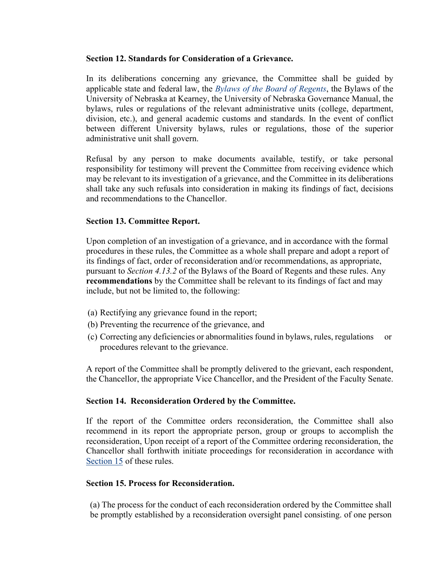## **Section 12. Standards for Consideration of a Grievance.**

In its deliberations concerning any grievance, the Committee shall be guided by applicable state and federal law, the *Bylaws of the Board of Regents*, the Bylaws of the University of Nebraska at Kearney, the University of Nebraska Governance Manual, the bylaws, rules or regulations of the relevant administrative units (college, department, division, etc.), and general academic customs and standards. In the event of conflict between different University bylaws, rules or regulations, those of the superior administrative unit shall govern.

Refusal by any person to make documents available, testify, or take personal responsibility for testimony will prevent the Committee from receiving evidence which may be relevant to its investigation of a grievance, and the Committee in its deliberations shall take any such refusals into consideration in making its findings of fact, decisions and recommendations to the Chancellor.

## **Section 13. Committee Report.**

Upon completion of an investigation of a grievance, and in accordance with the formal procedures in these rules, the Committee as a whole shall prepare and adopt a report of its findings of fact, order of reconsideration and/or recommendations, as appropriate, pursuant to *Section 4.13.2* of the Bylaws of the Board of Regents and these rules. Any **recommendations** by the Committee shall be relevant to its findings of fact and may include, but not be limited to, the following:

- (a) Rectifying any grievance found in the report;
- (b) Preventing the recurrence of the grievance, and
- (c) Correcting any deficiencies or abnormalities found in bylaws, rules, regulations or procedures relevant to the grievance.

A report of the Committee shall be promptly delivered to the grievant, each respondent, the Chancellor, the appropriate Vice Chancellor, and the President of the Faculty Senate.

# **Section 14. Reconsideration Ordered by the Committee.**

If the report of the Committee orders reconsideration, the Committee shall also recommend in its report the appropriate person, group or groups to accomplish the reconsideration, Upon receipt of a report of the Committee ordering reconsideration, the Chancellor shall forthwith initiate proceedings for reconsideration in accordance with Section 15 of these rules.

## **Section 15. Process for Reconsideration.**

(a) The process for the conduct of each reconsideration ordered by the Committee shall be promptly established by a reconsideration oversight panel consisting. of one person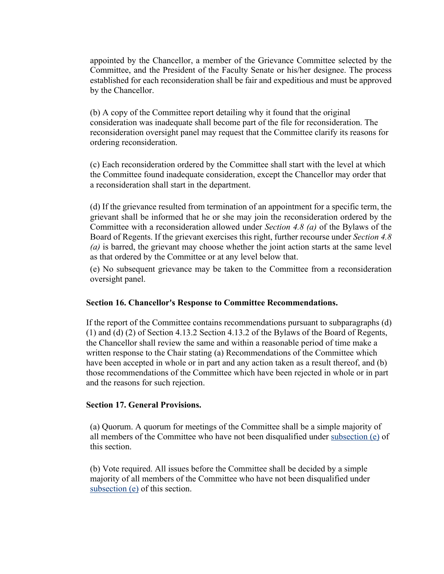appointed by the Chancellor, a member of the Grievance Committee selected by the Committee, and the President of the Faculty Senate or his/her designee. The process established for each reconsideration shall be fair and expeditious and must be approved by the Chancellor.

(b) A copy of the Committee report detailing why it found that the original consideration was inadequate shall become part of the file for reconsideration. The reconsideration oversight panel may request that the Committee clarify its reasons for ordering reconsideration.

(c) Each reconsideration ordered by the Committee shall start with the level at which the Committee found inadequate consideration, except the Chancellor may order that a reconsideration shall start in the department.

(d) If the grievance resulted from termination of an appointment for a specific term, the grievant shall be informed that he or she may join the reconsideration ordered by the Committee with a reconsideration allowed under *Section 4.8 (a)* of the Bylaws of the Board of Regents. If the grievant exercises this right, further recourse under *Section 4.8 (a)* is barred, the grievant may choose whether the joint action starts at the same level as that ordered by the Committee or at any level below that.

(e) No subsequent grievance may be taken to the Committee from a reconsideration oversight panel.

# **Section 16. Chancellor's Response to Committee Recommendations.**

If the report of the Committee contains recommendations pursuant to subparagraphs (d) (1) and (d) (2) of Section 4.13.2 Section 4.13.2 of the Bylaws of the Board of Regents, the Chancellor shall review the same and within a reasonable period of time make a written response to the Chair stating (a) Recommendations of the Committee which have been accepted in whole or in part and any action taken as a result thereof, and (b) those recommendations of the Committee which have been rejected in whole or in part and the reasons for such rejection.

## **Section 17. General Provisions.**

(a) Quorum. A quorum for meetings of the Committee shall be a simple majority of all members of the Committee who have not been disqualified under subsection (e) of this section.

(b) Vote required. All issues before the Committee shall be decided by a simple majority of all members of the Committee who have not been disqualified under subsection (e) of this section.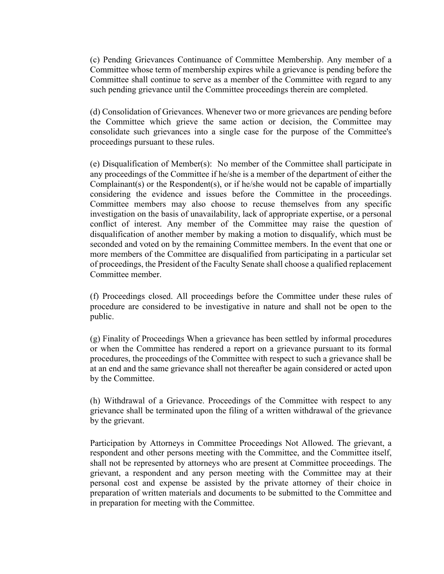(c) Pending Grievances Continuance of Committee Membership. Any member of a Committee whose term of membership expires while a grievance is pending before the Committee shall continue to serve as a member of the Committee with regard to any such pending grievance until the Committee proceedings therein are completed.

(d) Consolidation of Grievances. Whenever two or more grievances are pending before the Committee which grieve the same action or decision, the Committee may consolidate such grievances into a single case for the purpose of the Committee's proceedings pursuant to these rules.

(e) Disqualification of Member(s): No member of the Committee shall participate in any proceedings of the Committee if he/she is a member of the department of either the Complainant(s) or the Respondent(s), or if he/she would not be capable of impartially considering the evidence and issues before the Committee in the proceedings. Committee members may also choose to recuse themselves from any specific investigation on the basis of unavailability, lack of appropriate expertise, or a personal conflict of interest. Any member of the Committee may raise the question of disqualification of another member by making a motion to disqualify, which must be seconded and voted on by the remaining Committee members. In the event that one or more members of the Committee are disqualified from participating in a particular set of proceedings, the President of the Faculty Senate shall choose a qualified replacement Committee member.

(f) Proceedings closed. All proceedings before the Committee under these rules of procedure are considered to be investigative in nature and shall not be open to the public.

(g) Finality of Proceedings When a grievance has been settled by informal procedures or when the Committee has rendered a report on a grievance pursuant to its formal procedures, the proceedings of the Committee with respect to such a grievance shall be at an end and the same grievance shall not thereafter be again considered or acted upon by the Committee.

(h) Withdrawal of a Grievance. Proceedings of the Committee with respect to any grievance shall be terminated upon the filing of a written withdrawal of the grievance by the grievant.

Participation by Attorneys in Committee Proceedings Not Allowed. The grievant, a respondent and other persons meeting with the Committee, and the Committee itself, shall not be represented by attorneys who are present at Committee proceedings. The grievant, a respondent and any person meeting with the Committee may at their personal cost and expense be assisted by the private attorney of their choice in preparation of written materials and documents to be submitted to the Committee and in preparation for meeting with the Committee.